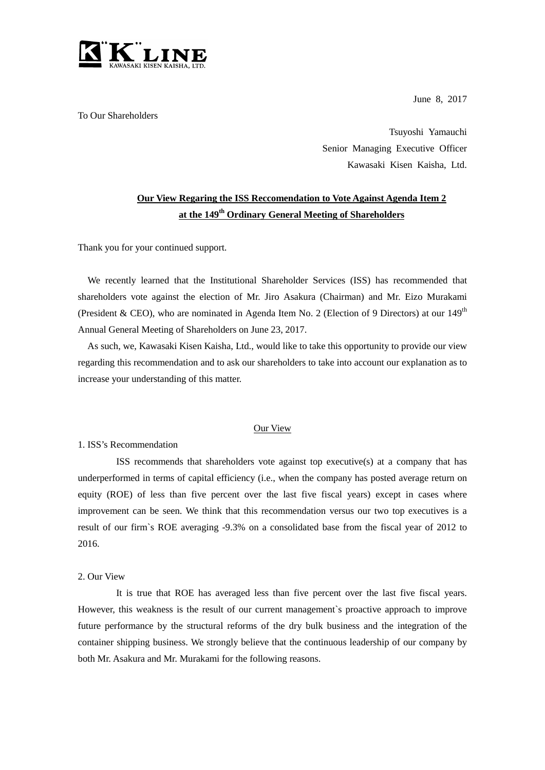

To Our Shareholders

June 8, 2017

Tsuyoshi Yamauchi Senior Managing Executive Officer Kawasaki Kisen Kaisha, Ltd.

## **Our View Regaring the ISS Reccomendation to Vote Against Agenda Item 2 at the 149th Ordinary General Meeting of Shareholders**

Thank you for your continued support.

We recently learned that the Institutional Shareholder Services (ISS) has recommended that shareholders vote against the election of Mr. Jiro Asakura (Chairman) and Mr. Eizo Murakami (President & CEO), who are nominated in Agenda Item No. 2 (Election of 9 Directors) at our  $149<sup>th</sup>$ Annual General Meeting of Shareholders on June 23, 2017.

As such, we, Kawasaki Kisen Kaisha, Ltd., would like to take this opportunity to provide our view regarding this recommendation and to ask our shareholders to take into account our explanation as to increase your understanding of this matter.

## Our View

1. ISS's Recommendation

ISS recommends that shareholders vote against top executive(s) at a company that has underperformed in terms of capital efficiency (i.e., when the company has posted average return on equity (ROE) of less than five percent over the last five fiscal years) except in cases where improvement can be seen. We think that this recommendation versus our two top executives is a result of our firm`s ROE averaging -9.3% on a consolidated base from the fiscal year of 2012 to 2016.

## 2. Our View

It is true that ROE has averaged less than five percent over the last five fiscal years. However, this weakness is the result of our current management`s proactive approach to improve future performance by the structural reforms of the dry bulk business and the integration of the container shipping business. We strongly believe that the continuous leadership of our company by both Mr. Asakura and Mr. Murakami for the following reasons.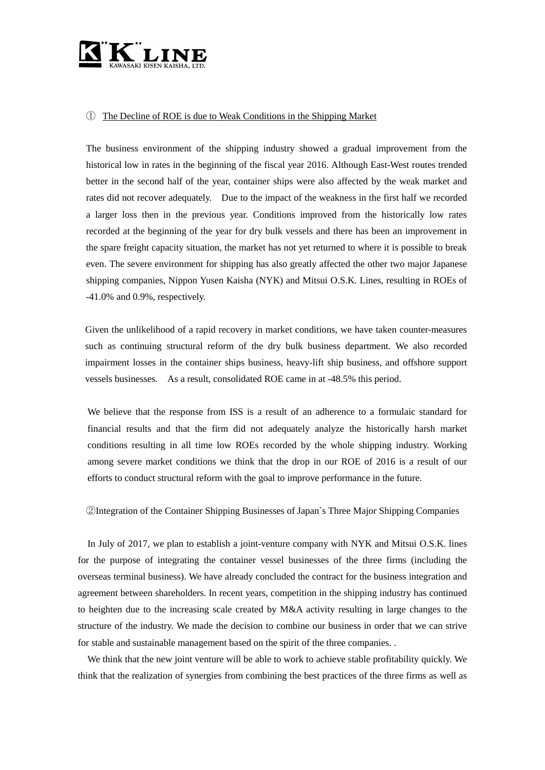

## ① The Decline of ROE is due to Weak Conditions in the Shipping Market

The business environment of the shipping industry showed a gradual improvement from the historical low in rates in the beginning of the fiscal year 2016. Although East-West routes trended better in the second half of the year, container ships were also affected by the weak market and rates did not recover adequately. Due to the impact of the weakness in the first half we recorded a larger loss then in the previous year. Conditions improved from the historically low rates recorded at the beginning of the year for dry bulk vessels and there has been an improvement in the spare freight capacity situation, the market has not yet returned to where it is possible to break even. The severe environment for shipping has also greatly affected the other two major Japanese shipping companies, Nippon Yusen Kaisha (NYK) and Mitsui O.S.K. Lines, resulting in ROEs of -41.0% and 0.9%, respectively.

Given the unlikelihood of a rapid recovery in market conditions, we have taken counter-measures such as continuing structural reform of the dry bulk business department. We also recorded impairment losses in the container ships business, heavy-lift ship business, and offshore support vessels businesses. As a result, consolidated ROE came in at -48.5% this period.

 We believe that the response from ISS is a result of an adherence to a formulaic standard for financial results and that the firm did not adequately analyze the historically harsh market conditions resulting in all time low ROEs recorded by the whole shipping industry. Working among severe market conditions we think that the drop in our ROE of 2016 is a result of our efforts to conduct structural reform with the goal to improve performance in the future.

②Integration of the Container Shipping Businesses of Japan`s Three Major Shipping Companies

In July of 2017, we plan to establish a joint-venture company with NYK and Mitsui O.S.K. lines for the purpose of integrating the container vessel businesses of the three firms (including the overseas terminal business). We have already concluded the contract for the business integration and agreement between shareholders. In recent years, competition in the shipping industry has continued to heighten due to the increasing scale created by M&A activity resulting in large changes to the structure of the industry. We made the decision to combine our business in order that we can strive for stable and sustainable management based on the spirit of the three companies. .

We think that the new joint venture will be able to work to achieve stable profitability quickly. We think that the realization of synergies from combining the best practices of the three firms as well as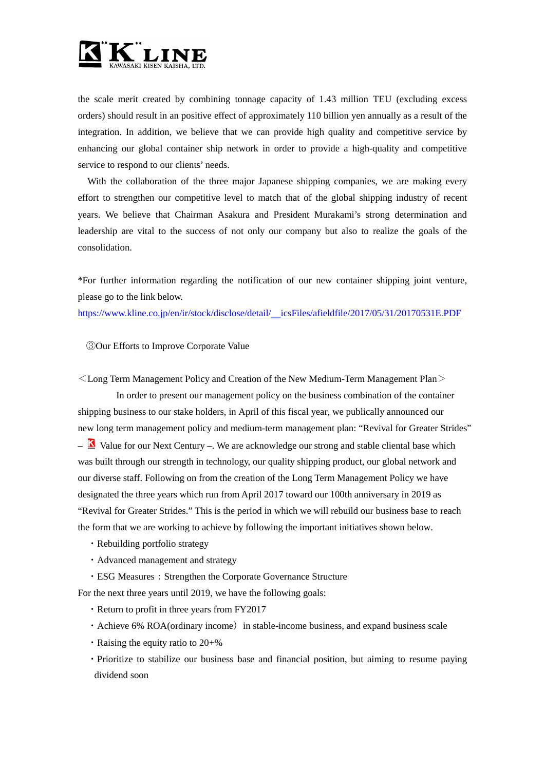

the scale merit created by combining tonnage capacity of 1.43 million TEU (excluding excess orders) should result in an positive effect of approximately 110 billion yen annually as a result of the integration. In addition, we believe that we can provide high quality and competitive service by enhancing our global container ship network in order to provide a high-quality and competitive service to respond to our clients' needs.

With the collaboration of the three major Japanese shipping companies, we are making every effort to strengthen our competitive level to match that of the global shipping industry of recent years. We believe that Chairman Asakura and President Murakami's strong determination and leadership are vital to the success of not only our company but also to realize the goals of the consolidation.

\*For further information regarding the notification of our new container shipping joint venture, please go to the link below.

[https://www.kline.co.jp/en/ir/stock/disclose/detail/\\_\\_icsFiles/afieldfile/2017/05/31/20170531E.PDF](https://www.kline.co.jp/en/ir/stock/disclose/detail/__icsFiles/afieldfile/2017/05/31/20170531E.PDF)

③Our Efforts to Improve Corporate Value

 $\leq$  Long Term Management Policy and Creation of the New Medium-Term Management Plan $\geq$ 

In order to present our management policy on the business combination of the container shipping business to our stake holders, in April of this fiscal year, we publically announced our new long term management policy and medium-term management plan: "Revival for Greater Strides"  $-\Delta$  Value for our Next Century –. We are acknowledge our strong and stable cliental base which was built through our strength in technology, our quality shipping product, our global network and our diverse staff. Following on from the creation of the Long Term Management Policy we have designated the three years which run from April 2017 toward our 100th anniversary in 2019 as "Revival for Greater Strides." This is the period in which we will rebuild our business base to reach the form that we are working to achieve by following the important initiatives shown below.

- ・Rebuilding portfolio strategy
- ・Advanced management and strategy
- ESG Measures: Strengthen the Corporate Governance Structure

For the next three years until 2019, we have the following goals:

- ・Return to profit in three years from FY2017
- Achieve 6% ROA(ordinary income) in stable-income business, and expand business scale
- $\cdot$  Raising the equity ratio to 20+%
- ・Prioritize to stabilize our business base and financial position, but aiming to resume paying dividend soon